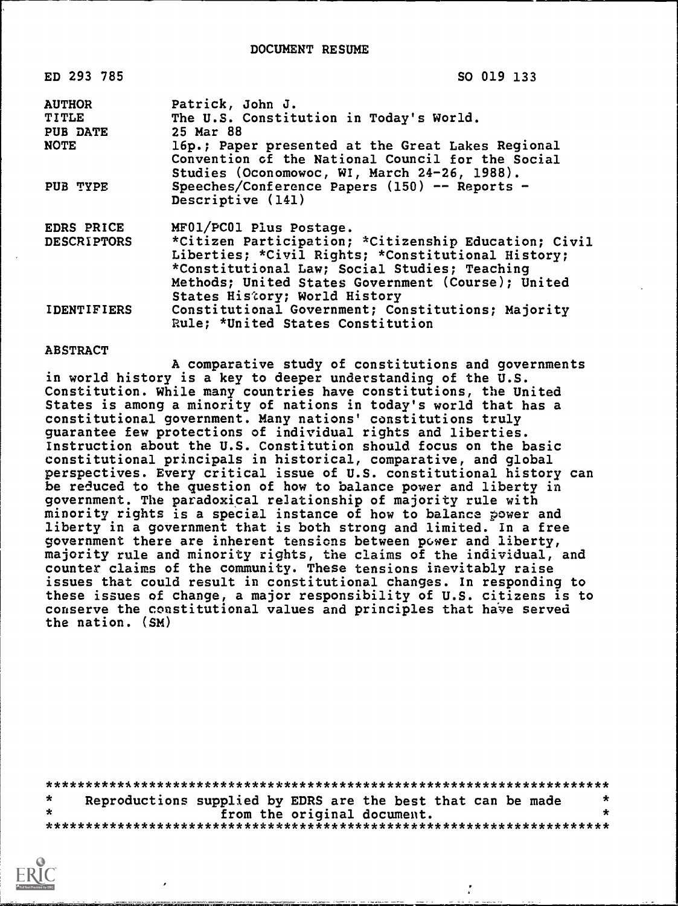| ED 293 785         | SO 019 133                                            |
|--------------------|-------------------------------------------------------|
| <b>AUTHOR</b>      | Patrick, John J.                                      |
| <b>TITLE</b>       | The U.S. Constitution in Today's World.               |
| PUB DATE           | 25 Mar 88                                             |
| <b>NOTE</b>        | 16p.; Paper presented at the Great Lakes Regional     |
|                    | Convention of the National Council for the Social     |
|                    | Studies (Oconomowoc, WI, March 24-26, 1988).          |
| <b>PUB TYPE</b>    | Speeches/Conference Papers $(150)$ -- Reports -       |
|                    | Descriptive (141)                                     |
| EDRS PRICE         | MF01/PC01 Plus Postage.                               |
| <b>DESCRIPTORS</b> | *Citizen Participation; *Citizenship Education; Civil |
|                    | Liberties; *Civil Rights; *Constitutional History;    |
|                    | *Constitutional Law; Social Studies; Teaching         |
|                    | Methods; United States Government (Course); United    |
|                    | States History; World History                         |
| <b>IDENTIFIERS</b> | Constitutional Government; Constitutions; Majority    |
|                    | Rule; *United States Constitution                     |

#### ABSTRACT

A comparative study of constitutions and governments in world history is a key to deeper understanding of the U.S. Constitution. While many countries have constitutions, the United States is among a minority of nations in today's world that has a constitutional government. Many nations' constitutions truly guarantee few protections of individual rights and liberties. Instruction about the U.S. Constitution should focus on the basic constitutional principals in historical, comparative, and global perspectives. Every critical issue of U.S. constitutional history can be reduced to the question of how to balance power and liberty in government. The paradoxical relationship of majority rule with minority rights is a special instance of how to balance power and liberty in a government that is both strong and limited. In a free government there are inherent tensions between power and liberty, majority rule and minority rights, the claims of the individual, and counter claims of the community. These tensions inevitably raise issues that could result in constitutional changes. In responding to these issues of change, a major responsibility of U.S. citizens is to conserve the constitutional values and principles that have served the nation. (SM)

|  |  |  |                             | Reproductions supplied by EDRS are the best that can be made |  | $\ast$ |  |  |
|--|--|--|-----------------------------|--------------------------------------------------------------|--|--------|--|--|
|  |  |  | from the original document. |                                                              |  |        |  |  |
|  |  |  |                             |                                                              |  |        |  |  |

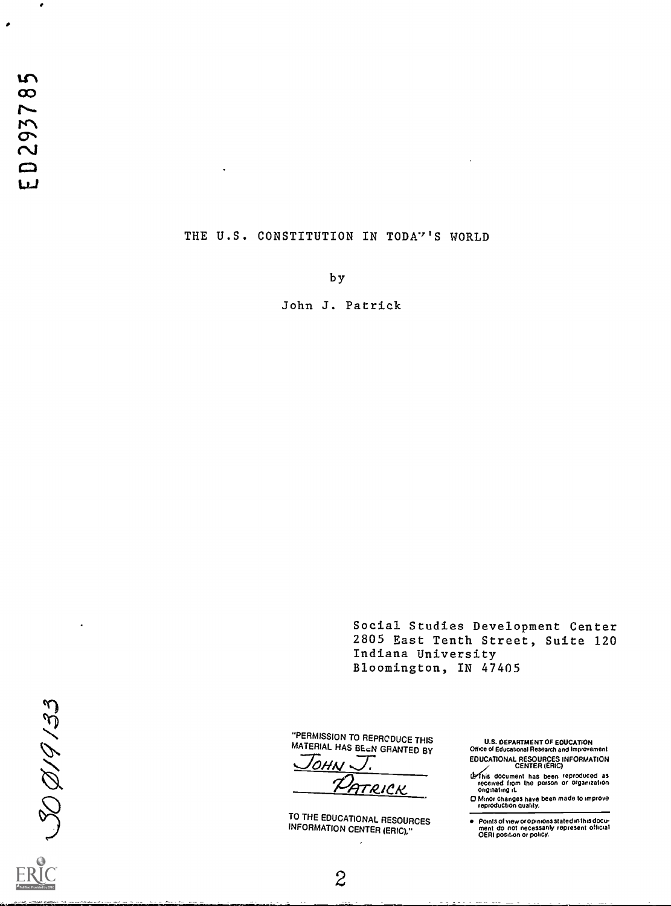$\mathbf{u}$ ED29378

 $\bullet$ 

 $\bullet$ 

#### THE U.S. CONSTITUTION IN TODA'''S WORLD

 $\ddot{\phantom{a}}$ 

by

John J. Patrick

Social Studies Development Center 2805 East Tenth Street, Suite 120 Indiana University Bloomington, IN 47405

 $300/9/33$ 

 $\overline{a}$ 

"PERMISSION TO REPRCDUCE THIS MATERIAL HAS BEEN GRANTED BY

 $\overline{\Omega H}$ FTRICK

TO THE EDUCATIONAL RESOURCES INFORMATION CENTER (ERIC)."

U.S. DEPARTMENT OF EDUCATION Office of Educational Research and Improvement EDUCATIONAL RESOURCES INFORMATION CENTER (ERIC)

**If this document has been reproduced as<br>received from the person or Organization**<br>Originating it.<br>**COMITY CORED FROM THE PERSON CONSIDER**<br>reproduction quality.

Points of view or opinions stated in this docu-<br>ment .do\_not\_necessarily\_represent\_official<br>OERI posit.on or policy.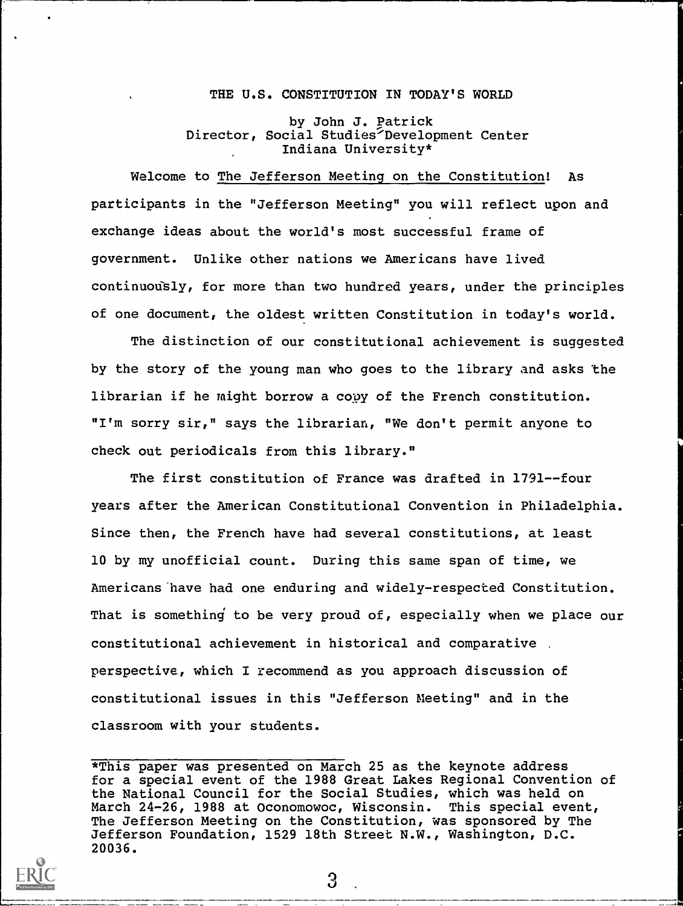#### THE U.S. CONSTITUTION IN TODAY'S WORLD

by John J. Patrick Director, Social Studies'Development Center Indiana University\*

Welcome to The Jefferson Meeting on the Constitution! As participants in the "Jefferson Meeting" you will reflect upon and exchange ideas about the world's most successful frame of government. Unlike other nations we Americans have lived continuously, for more than two hundred years, under the principles of one document, the oldest written Constitution in today's world.

The distinction of our constitutional achievement is suggested by the story of the young man who goes to the library and asks the librarian if he might borrow a copy of the French constitution. "I'm sorry sir," says the librarian, "We don't permit anyone to check out periodicals from this library."

The first constitution of France was drafted in 1791--four years after the American Constitutional Convention in Philadelphia. Since then, the French have had several constitutions, at least 10 by my unofficial count. During this same span of time, we Americans have had one enduring and widely-respected Constitution. That is something to be very proud of, especially when we place our constitutional achievement in historical and comparative perspective, which I recommend as you approach discussion of constitutional issues in this "Jefferson Meeting" and in the classroom with your students.

\*This paper was presented on March 25 as the keynote address for a special event of the 1988 Great Lakes Regional Convention of the National Council for the Social Studies, which was held on March 24-26, 1988 at Oconomowoc, Wisconsin. This special event, The Jefferson Meeting on the Constitution, was sponsored by The Jefferson Foundation, 1529 18th Street N.W., Washington, D.C. 20036.

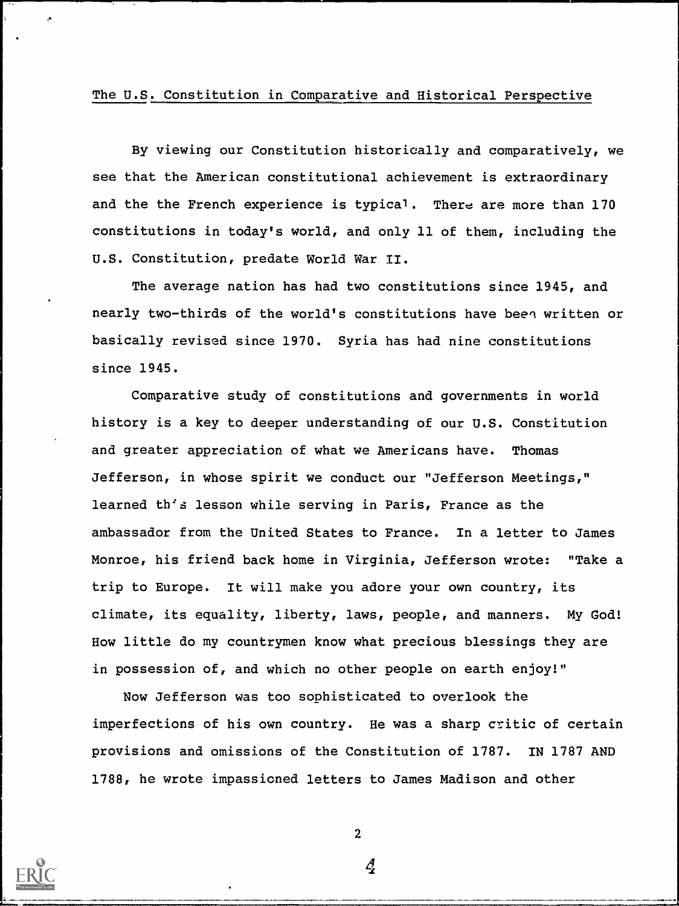## The U.S. Constitution in Comparative and Historical Perspective

By viewing our Constitution historically and comparatively, we see that the American constitutional achievement is extraordinary and the the French experience is typical. There are more than 170 constitutions in today's world, and only 11 of them, including the U.S. Constitution, predate World War II.

The average nation has had two constitutions since 1945, and nearly two-thirds of the world's constitutions have been written or basically revised since 1970. Syria has had nine constitutions since 1945.

Comparative study of constitutions and governments in world history is a key to deeper understanding of our U.S. Constitution and greater appreciation of what we Americans have. Thomas Jefferson, in whose spirit we conduct our "Jefferson Meetings," learned th's lesson while serving in Paris, France as the ambassador from the United States to France. In a letter to James Monroe, his friend back home in Virginia, Jefferson wrote: "Take a trip to Europe. It will make you adore your own country, its climate, its equality, liberty, laws, people, and manners. My God! How little do my countrymen know what precious blessings they are in possession of, and which no other people on earth enjoy!"

Now Jefferson was too sophisticated to overlook the imperfections of his own country. He was a sharp critic of certain provisions and omissions of the Constitution of 1787. IN 1787 AND 1788, he wrote impassioned letters to James Madison and other



2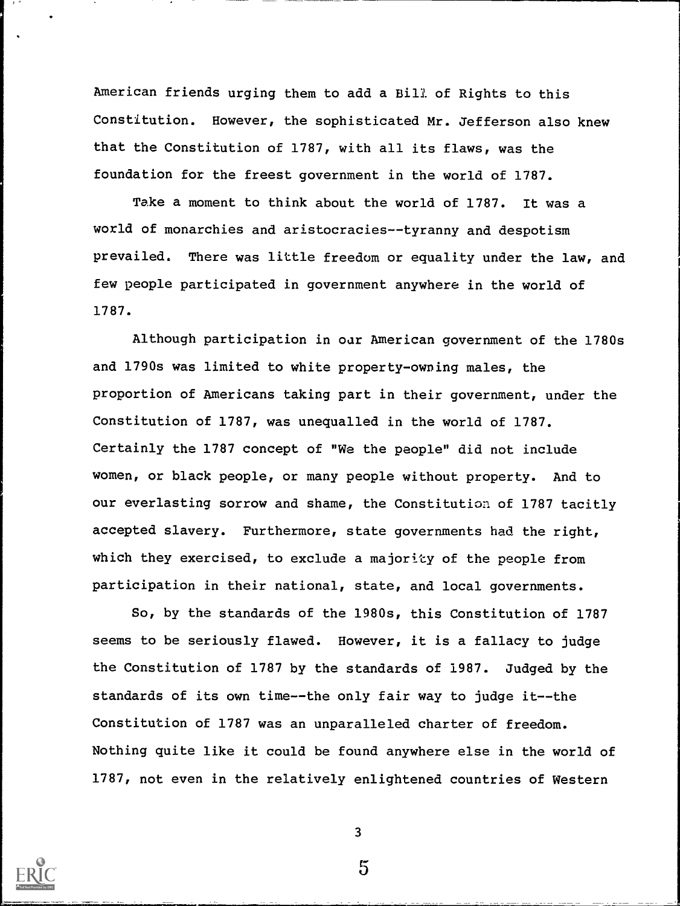American friends urging them to add a Bill of Rights to this Constitution. However, the sophisticated Mr. Jefferson also knew that the Constitution of 1787, with all its flaws, was the foundation for the freest government in the world of 1787.

Take a moment to think about the world of 1787. It was a world of monarchies and aristocracies--tyranny and despotism prevailed. There was little freedom or equality under the law, and few people participated in government anywhere in the world of 1787.

Although participation in our American government of the 1780s and 1790s was limited to white property-owning males, the proportion of Americans taking part in their government, under the Constitution of 1787, was unequalled in the world of 1787. Certainly the 1787 concept of "We the people" did not include women, or black people, or many people without property. And to our everlasting sorrow and shame, the Constitution of 1787 tacitly accepted slavery. Furthermore, state governments had the right, which they exercised, to exclude a majority of the people from participation in their national, state, and local governments.

So, by the standards of the 1980s, this Constitution of 1787 seems to be seriously flawed. However, it is a fallacy to judge the Constitution of 1787 by the standards of 1987. Judged by the standards of its own time--the only fair way to judge it--the Constitution of 1787 was an unparalleled charter of freedom. Nothing quite like it could be found anywhere else in the world of 1787, not even in the relatively enlightened countries of Western



3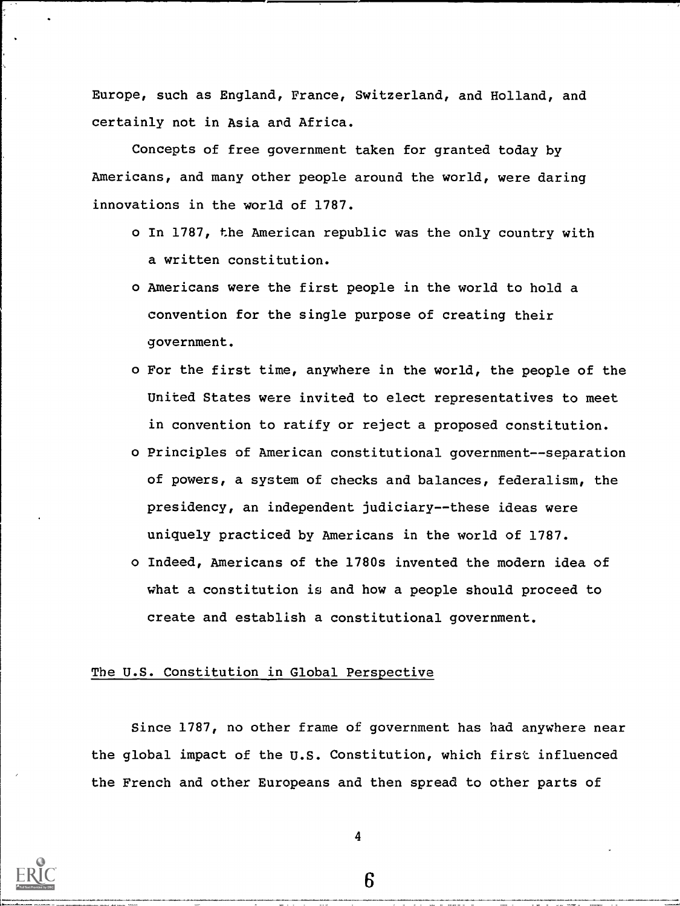Europe, such as England, France, Switzerland, and Holland, and certainly not in Asia and Africa.

Concepts of free government taken for granted today by Americans, and many other people around the world, were daring innovations in the world of 1787.

- o In 1787, the American republic was the only country with a written constitution.
- o Americans were the first people in the world to hold a convention for the single purpose of creating their government.
- o For the first time, anywhere in the world, the people of the United States were invited to elect representatives to meet in convention to ratify or reject a proposed constitution.
- o Principles of American constitutional government--separation of powers, a system of checks and balances, federalism, the presidency, an independent judiciary--these ideas were uniquely practiced by Americans in the world of 1787.
- o Indeed, Americans of the 1780s invented the modern idea of what a constitution is and how a people should proceed to create and establish a constitutional government.

# The U.S. Constitution in Global Perspective

Since 1787, no other frame of government has had anywhere near the global impact of the U.S. Constitution, which first influenced the French and other Europeans and then spread to other parts of



4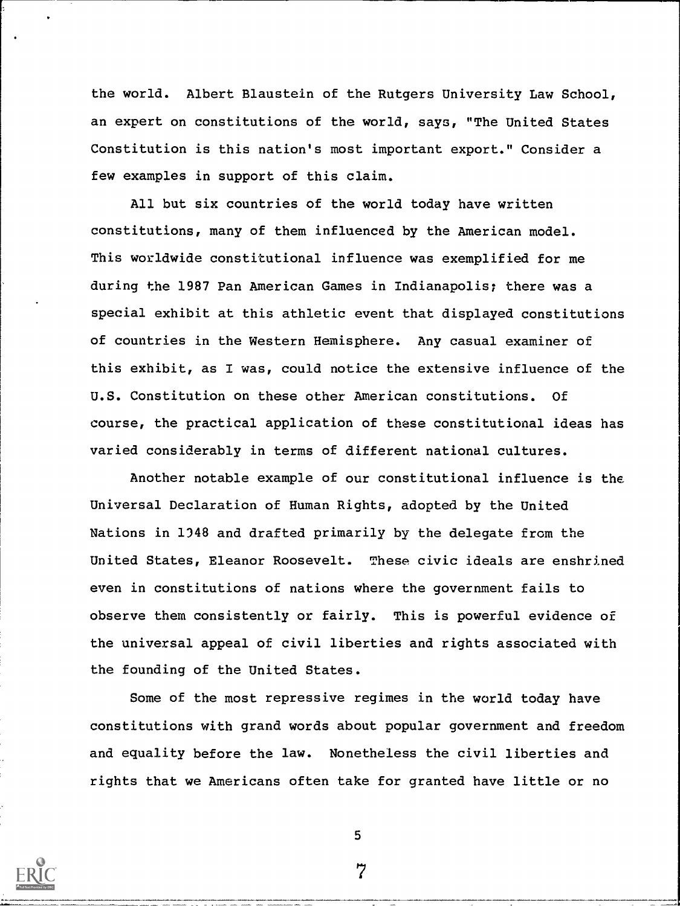the world. Albert Blaustein of the Rutgers University Law School, an expert on constitutions of the world, says, "The United States Constitution is this nation's most important export." Consider a few examples in support of this claim.

All but six countries of the world today have written constitutions, many of them influenced by the American model. This worldwide constitutional influence was exemplified for me during the 1987 Pan American Games in Indianapolis; there was a special exhibit at this athletic event that displayed constitutions of countries in the Western Hemisphere. Any casual examiner of this exhibit, as I was, could notice the extensive influence of the U.S. Constitution on these other American constitutions. Of course, the practical application of these constitutional ideas has varied considerably in terms of different national cultures.

Another notable example of our constitutional influence is the Universal Declaration of Human Rights, adopted by the United Nations in 1348 and drafted primarily by the delegate from the United States, Eleanor Roosevelt. These civic ideals are enshrined even in constitutions of nations where the government fails to observe them consistently or fairly. This is powerful evidence of the universal appeal of civil liberties and rights associated with the founding of the United States.

Some of the most repressive regimes in the world today have constitutions with grand words about popular government and freedom and equality before the law. Nonetheless the civil liberties and rights that we Americans often take for granted have little or no



7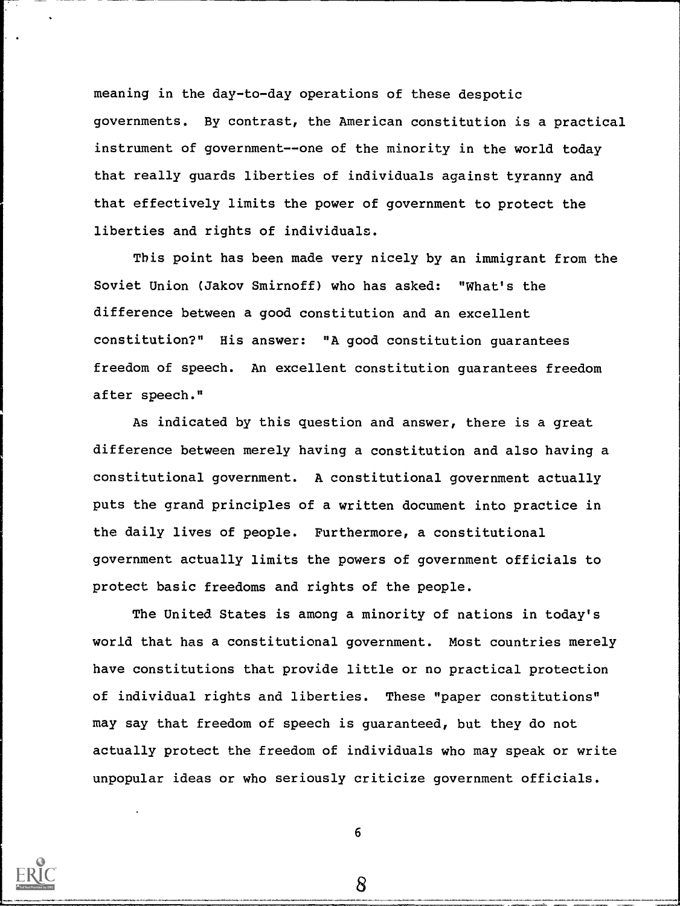meaning in the day-to-day operations of these despotic governments. By contrast, the American constitution is a practical instrument of government--one of the minority in the world today that really guards liberties of individuals against tyranny and that effectively limits the power of government to protect the liberties and rights of individuals.

This point has been made very nicely by an immigrant from the Soviet Union (Jakov Smirnoff) who has asked: "What's the difference between a good constitution and an excellent constitution?" His answer: "A good constitution guarantees freedom of speech. An excellent constitution guarantees freedom after speech."

As indicated by this question and answer, there is a great difference between merely having a constitution and also having a constitutional government. A constitutional government actually puts the grand principles of a written document into practice in the daily lives of people. Furthermore, a constitutional government actually limits the powers of government officials to protect basic freedoms and rights of the people.

The United States is among a minority of nations in today's world that has a constitutional government. Most countries merely have constitutions that provide little or no practical protection of individual rights and liberties. These "paper constitutions" may say that freedom of speech is guaranteed, but they do not actually protect the freedom of individuals who may speak or write unpopular ideas or who seriously criticize government officials.



6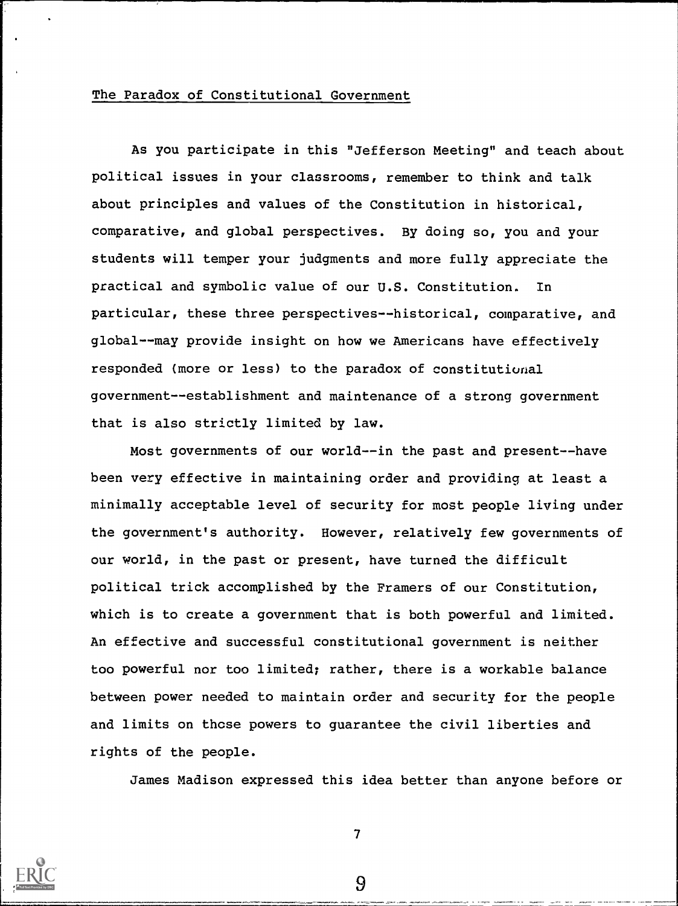### The Paradox of Constitutional Government

As you participate in this "Jefferson Meeting" and teach about political issues in your classrooms, remember to think and talk about principles and values of the Constitution in historical, comparative, and global perspectives. By doing so, you and your students will temper your judgments and more fully appreciate the practical and symbolic value of our U.S. Constitution. In particular, these three perspectives--historical, comparative, and global--may provide insight on how we Americans have effectively responded (more or less) to the paradox of constitutional government--establishment and maintenance of a strong government that is also strictly limited by law.

Most governments of our world--in the past and present--have been very effective in maintaining order and providing at least a minimally acceptable level of security for most people living under the government's authority. However, relatively few governments of our world, in the past or present, have turned the difficult political trick accomplished by the Framers of our Constitution, which is to create a government that is both powerful and limited. An effective and successful constitutional government is neither too powerful nor too limited; rather, there is a workable balance between power needed to maintain order and security for the people and limits on thcse powers to guarantee the civil liberties and rights of the people.

James Madison expressed this idea better than anyone before or

7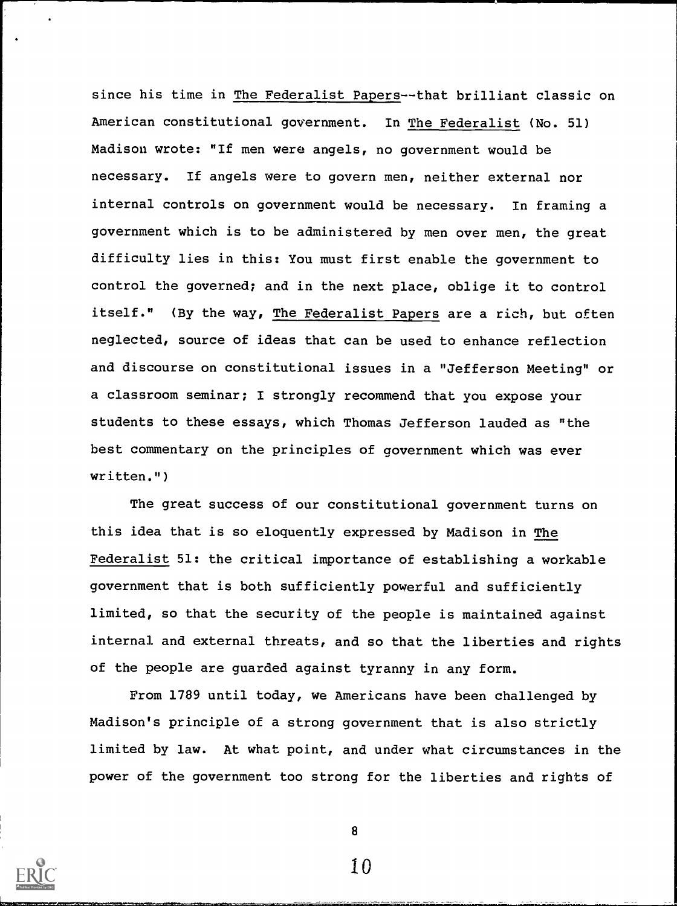since his time in The Federalist Papers--that brilliant classic on American constitutional government. In The Federalist (No. 51) Madison wrote: "If men were angels, no government would be necessary. If angels were to govern men, neither external nor internal controls on government would be necessary. In framing a government which is to be administered by men over men, the great difficulty lies in this: You must first enable the government to control the governed; and in the next place, oblige it to control itself." (By the way, The Federalist Papers are a rich, but often neglected, source of ideas that can be used to enhance reflection and discourse on constitutional issues in a "Jefferson Meeting" or a classroom seminar; I strongly recommend that you expose your students to these essays, which Thomas Jefferson lauded as "the best commentary on the principles of government which was ever written.")

The great success of our constitutional government turns on this idea that is so eloquently expressed by Madison in The Federalist 51: the critical importance of establishing a workable government that is both sufficiently powerful and sufficiently limited, so that the security of the people is maintained against internal and external threats, and so that the liberties and rights of the people are guarded against tyranny in any form.

From 1789 until today, we Americans have been challenged by Madison's principle of a strong government that is also strictly limited by law. At what point, and under what circumstances in the power of the government too strong for the liberties and rights of



8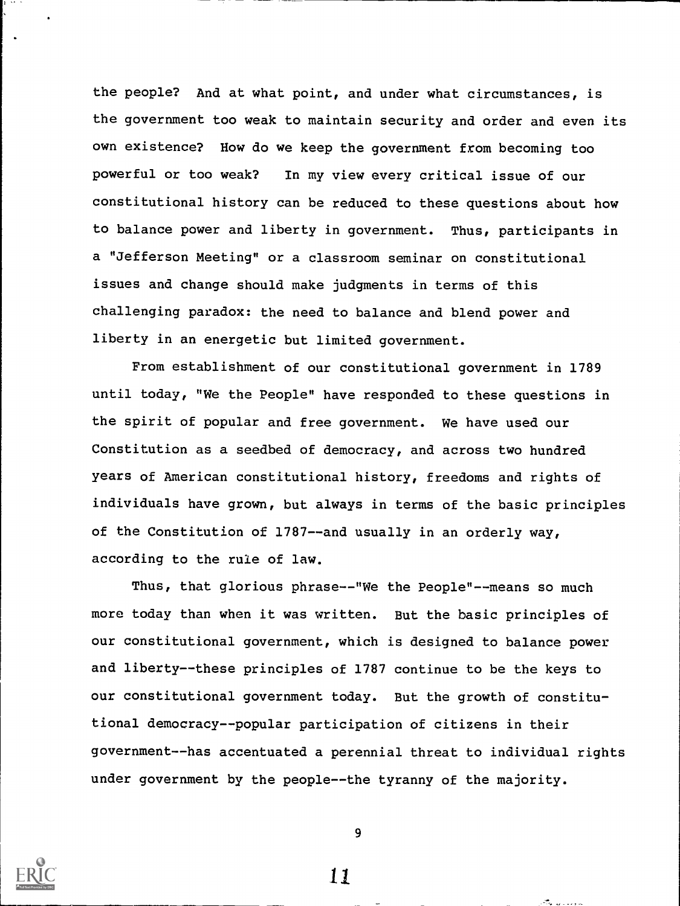the people? And at what point, and under what circumstances, is the government too weak to maintain security and order and even its own existence? How do we keep the government from becoming too powerful or too weak? In my view every critical issue of our constitutional history can be reduced to these questions about how to balance power and liberty in government. Thus, participants in a "Jefferson Meeting" or a classroom seminar on constitutional issues and change should make judgments in terms of this challenging paradox: the need to balance and blend power and liberty in an energetic but limited government.

From establishment of our constitutional government in 1789 until today, "We the People" have responded to these questions in the spirit of popular and free government. We have used our Constitution as a seedbed of democracy, and across two hundred years of American constitutional history, freedoms and rights of individuals have grown, but always in terms of the basic principles of the Constitution of 1787--and usually in an orderly way, according to the rule of law.

Thus, that glorious phrase--"We the People"--means so much more today than when it was written. But the basic principles of our constitutional government, which is designed to balance power and liberty--these principles of 1787 continue to be the keys to our constitutional government today. But the growth of constitutional democracy--popular participation of citizens in their government--has accentuated a perennial threat to individual rights under government by the people--the tyranny of the majority.



9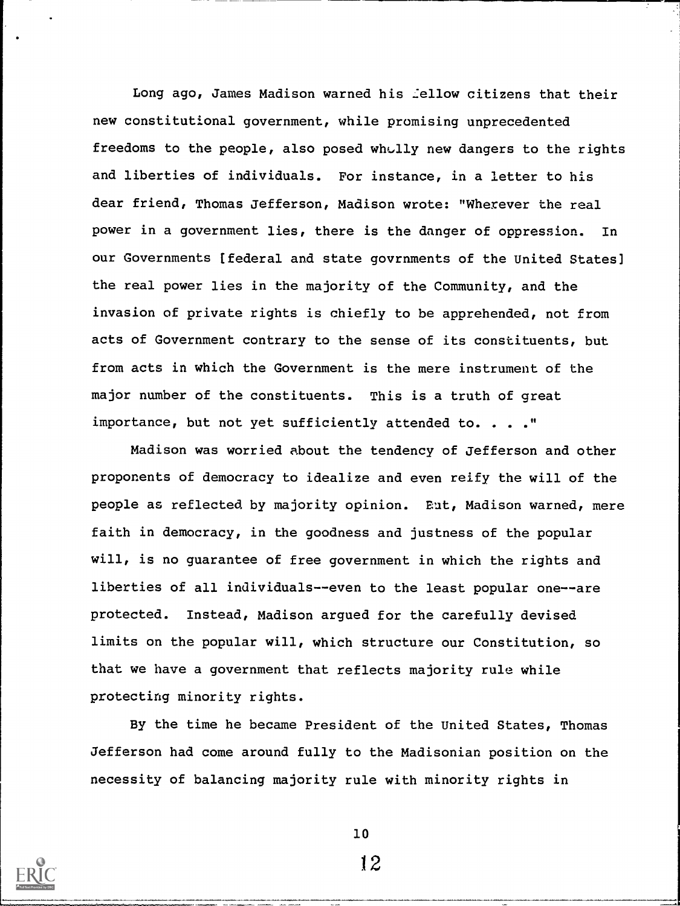Long ago, James Madison warned his :ellow citizens that their new constitutional government, while promising unprecedented freedoms to the people, also posed wholly new dangers to the rights and liberties of individuals. For instance, in a letter to his dear friend, Thomas Jefferson, Madison wrote: "Wherever the real power in a government lies, there is the danger of oppression. In our Governments [federal and state govrnments of the United States] the real power lies in the majority of the Community, and the invasion of private rights is chiefly to be apprehended, not from acts of Government contrary to the sense of its constituents, but from acts in which the Government is the mere instrument of the major number of the constituents. This is a truth of great importance, but not yet sufficiently attended to. . . ."

Madison was worried about the tendency of Jefferson and other proponents of democracy to idealize and even reify the will of the people as reflected by majority opinion. But, Madison warned, mere faith in democracy, in the goodness and justness of the popular will, is no guarantee of free government in which the rights and liberties of all individuals- -even to the least popular one--are protected. Instead, Madison argued for the carefully devised limits on the popular will, which structure our Constitution, so that we have a government that reflects majority rule while protecting minority rights.

By the time he became President of the United States, Thomas Jefferson had come around fully to the Madisonian position on the necessity of balancing majority rule with minority rights in



10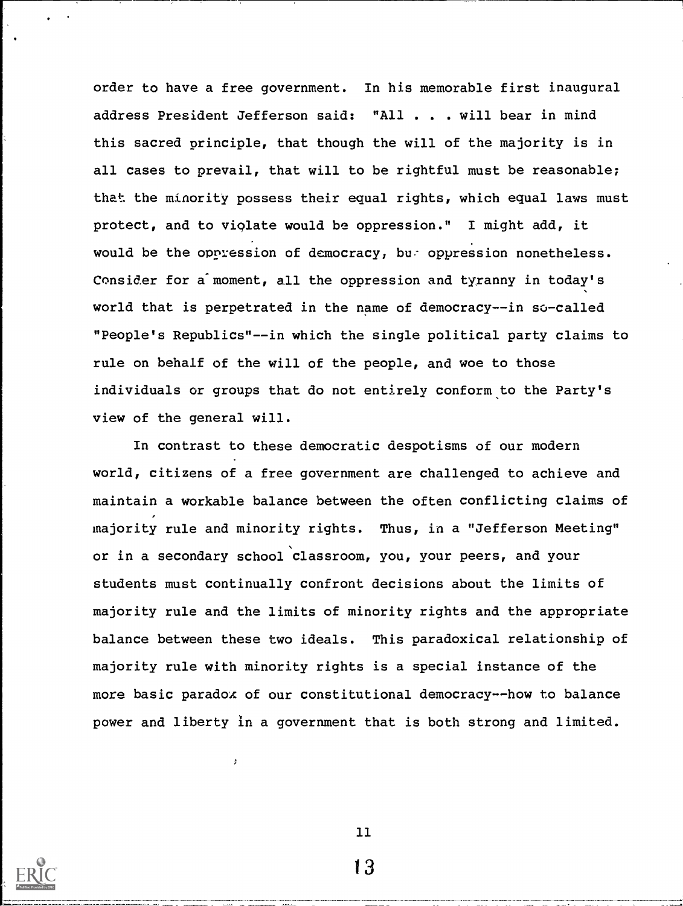order to have a free government. In his memorable first inaugural address President Jefferson said: "All . . . will bear in mind this sacred principle, that though the will of the majority is in all cases to prevail, that will to be rightful must be reasonable; that the minority possess their equal rights, which equal laws must protect, and to violate would be oppression." I might add, it would be the oppression of democracy, bu- oppression nonetheless. Consider for a moment, all the oppression and tyranny in today's world that is perpetrated in the name of democracy--in so-called "People's Republics"--in which the single political party claims to rule on behalf of the will of the people, and woe to those individuals or groups that do not entirely conform to the Party's view of the general will.

In contrast to these democratic despotisms of our modern world, citizens of a free government are challenged to achieve and maintain a workable balance between the often conflicting claims of majority rule and minority rights. Thus, in a "Jefferson Meeting" or in a secondary school classroom, you, your peers, and your students must continually confront decisions about the limits of majority rule and the limits of minority rights and the appropriate balance between these two ideals. This paradoxical relationship of majority rule with minority rights is a special instance of the more basic paradox of our constitutional democracy--how to balance power and liberty in a government that is both strong and limited.

 $\mathbf{r}$ 

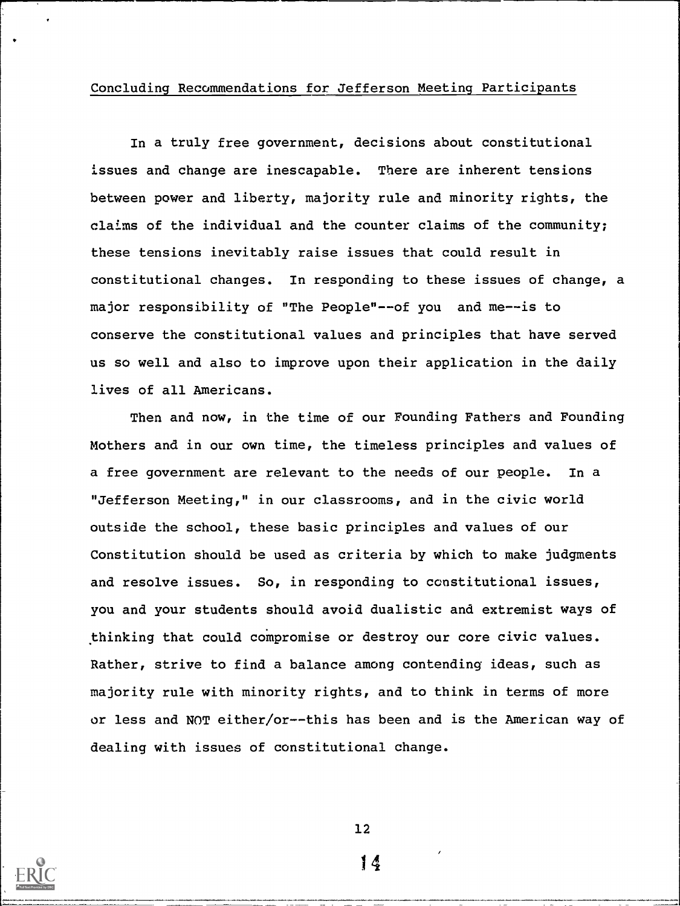## Concluding Recommendations for. Jefferson Meeting Participants

In a truly free government, decisions about constitutional issues and change are inescapable. There are inherent tensions between power and liberty, majority rule and minority rights, the claims of the individual and the counter claims of the community; these tensions inevitably raise issues that could result in constitutional changes. In responding to these issues of change, a major responsibility of "The People"--of you and me--is to conserve the constitutional values and principles that have served us so well and also to improve upon their application in the daily lives of all Americans.

Then and now, in the time of our Founding Fathers and Founding Mothers and in our own time, the timeless principles and values of a free government are relevant to the needs of our people. In a "Jefferson Meeting," in our classrooms, and in the civic world outside the school, these basic principles and values of our Constitution should be used as criteria by which to make judgments and resolve issues. So, in responding to constitutional issues, you and your students should avoid dualistic and extremist ways of thinking that could compromise or destroy our core civic values. Rather, strive to find a balance among contending ideas, such as majority rule with minority rights, and to think in terms of more or less and NOT either/or--this has been and is the American way of dealing with issues of constitutional change.



12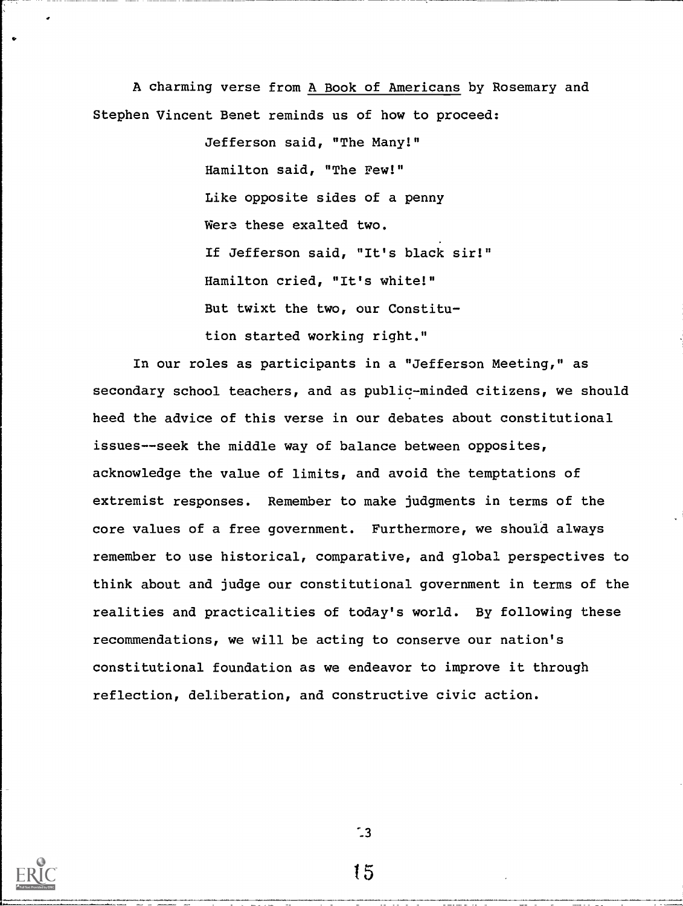A charming verse from A Book of Americans by Rosemary and Stephen Vincent Benet reminds us of how to proceed:

> Jefferson said, "The Many!" Hamilton said, "The Few!" Like opposite sides of a penny Were these exalted two. If Jefferson said, "It's black sir!" Hamilton cried, "It's white!" But twixt the two, our Constitution started working right."

In our roles as participants in a "Jefferson Meeting," as secondary school teachers, and as public-minded citizens, we should heed the advice of this verse in our debates about constitutional issues--seek the middle way of balance between opposites, acknowledge the value of limits, and avoid the temptations of extremist responses. Remember to make judgments in terms of the core values of a free government. Furthermore, we should always remember to use historical, comparative, and global perspectives to think about and judge our constitutional government in terms of the realities and practicalities of today's world. By following these recommendations, we will be acting to conserve our nation's constitutional foundation as we endeavor to improve it through reflection, deliberation, and constructive civic action.

 $\mathbf{13}$